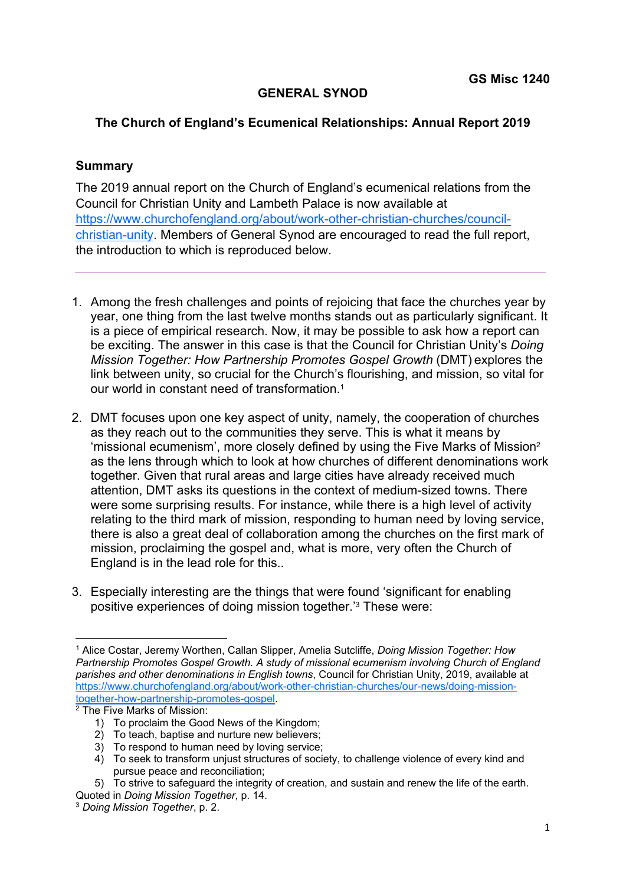## **GENERAL SYNOD**

## **The Church of England's Ecumenical Relationships: Annual Report 2019**

## **Summary**

The 2019 annual report on the Church of England's ecumenical relations from the Council for Christian Unity and Lambeth Palace is now available at https://www.churchofengland.org/about/work-other-christian-churches/councilchristian-unity. Members of General Synod are encouraged to read the full report, the introduction to which is reproduced below.

- 1. Among the fresh challenges and points of rejoicing that face the churches year by year, one thing from the last twelve months stands out as particularly significant. It is a piece of empirical research. Now, it may be possible to ask how a report can be exciting. The answer in this case is that the Council for Christian Unity's *Doing Mission Together: How Partnership Promotes Gospel Growth* (DMT) explores the link between unity, so crucial for the Church's flourishing, and mission, so vital for our world in constant need of transformation.1
- 2. DMT focuses upon one key aspect of unity, namely, the cooperation of churches as they reach out to the communities they serve. This is what it means by 'missional ecumenism', more closely defined by using the Five Marks of Mission2 as the lens through which to look at how churches of different denominations work together. Given that rural areas and large cities have already received much attention, DMT asks its questions in the context of medium-sized towns. There were some surprising results. For instance, while there is a high level of activity relating to the third mark of mission, responding to human need by loving service, there is also a great deal of collaboration among the churches on the first mark of mission, proclaiming the gospel and, what is more, very often the Church of England is in the lead role for this..
- 3. Especially interesting are the things that were found 'significant for enabling positive experiences of doing mission together.'3 These were:

<sup>1</sup> Alice Costar, Jeremy Worthen, Callan Slipper, Amelia Sutcliffe, *Doing Mission Together: How Partnership Promotes Gospel Growth. A study of missional ecumenism involving Church of England parishes and other denominations in English towns*, Council for Christian Unity, 2019, available at https://www.churchofengland.org/about/work-other-christian-churches/our-news/doing-missiontogether-how-partnership-promotes-gospel. 2 The Five Marks of Mission:

<sup>1)</sup> To proclaim the Good News of the Kingdom;

<sup>2)</sup> To teach, baptise and nurture new believers;

<sup>3)</sup> To respond to human need by loving service;

<sup>4)</sup> To seek to transform unjust structures of society, to challenge violence of every kind and pursue peace and reconciliation;

<sup>5)</sup> To strive to safeguard the integrity of creation, and sustain and renew the life of the earth. Quoted in *Doing Mission Together*, p. 14.

<sup>3</sup> *Doing Mission Together*, p. 2.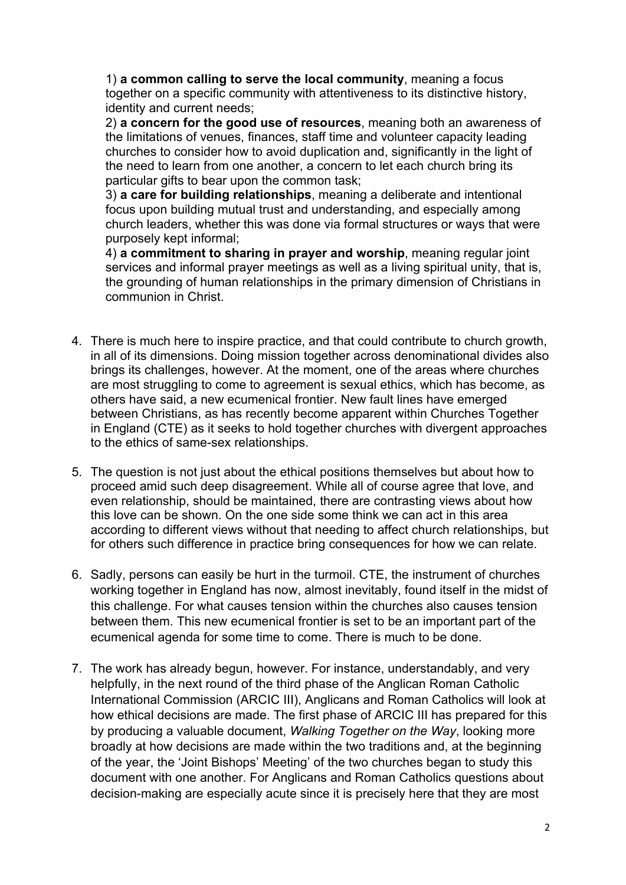1) **a common calling to serve the local community**, meaning a focus together on a specific community with attentiveness to its distinctive history, identity and current needs;

2) **a concern for the good use of resources**, meaning both an awareness of the limitations of venues, finances, staff time and volunteer capacity leading churches to consider how to avoid duplication and, significantly in the light of the need to learn from one another, a concern to let each church bring its particular gifts to bear upon the common task;

3) **a care for building relationships**, meaning a deliberate and intentional focus upon building mutual trust and understanding, and especially among church leaders, whether this was done via formal structures or ways that were purposely kept informal;

4) **a commitment to sharing in prayer and worship**, meaning regular joint services and informal prayer meetings as well as a living spiritual unity, that is, the grounding of human relationships in the primary dimension of Christians in communion in Christ.

- 4. There is much here to inspire practice, and that could contribute to church growth, in all of its dimensions. Doing mission together across denominational divides also brings its challenges, however. At the moment, one of the areas where churches are most struggling to come to agreement is sexual ethics, which has become, as others have said, a new ecumenical frontier. New fault lines have emerged between Christians, as has recently become apparent within Churches Together in England (CTE) as it seeks to hold together churches with divergent approaches to the ethics of same-sex relationships.
- 5. The question is not just about the ethical positions themselves but about how to proceed amid such deep disagreement. While all of course agree that love, and even relationship, should be maintained, there are contrasting views about how this love can be shown. On the one side some think we can act in this area according to different views without that needing to affect church relationships, but for others such difference in practice bring consequences for how we can relate.
- 6. Sadly, persons can easily be hurt in the turmoil. CTE, the instrument of churches working together in England has now, almost inevitably, found itself in the midst of this challenge. For what causes tension within the churches also causes tension between them. This new ecumenical frontier is set to be an important part of the ecumenical agenda for some time to come. There is much to be done.
- 7. The work has already begun, however. For instance, understandably, and very helpfully, in the next round of the third phase of the Anglican Roman Catholic International Commission (ARCIC III), Anglicans and Roman Catholics will look at how ethical decisions are made. The first phase of ARCIC III has prepared for this by producing a valuable document, *Walking Together on the Way*, looking more broadly at how decisions are made within the two traditions and, at the beginning of the year, the 'Joint Bishops' Meeting' of the two churches began to study this document with one another. For Anglicans and Roman Catholics questions about decision-making are especially acute since it is precisely here that they are most